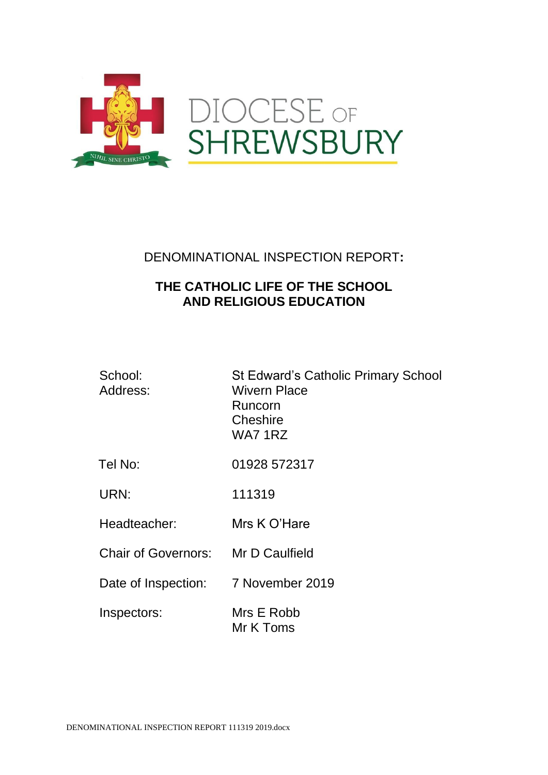

# DENOMINATIONAL INSPECTION REPORT**:**

# **THE CATHOLIC LIFE OF THE SCHOOL AND RELIGIOUS EDUCATION**

| School:<br>Address:        | <b>St Edward's Catholic Primary School</b><br><b>Wivern Place</b><br>Runcorn<br>Cheshire<br>WA71RZ |
|----------------------------|----------------------------------------------------------------------------------------------------|
| Tel No:                    | 01928 572317                                                                                       |
| URN:                       | 111319                                                                                             |
| Headteacher:               | Mrs K O'Hare                                                                                       |
| <b>Chair of Governors:</b> | Mr D Caulfield                                                                                     |
| Date of Inspection:        | 7 November 2019                                                                                    |
| Inspectors:                | Mrs E Robb<br>Mr K Toms                                                                            |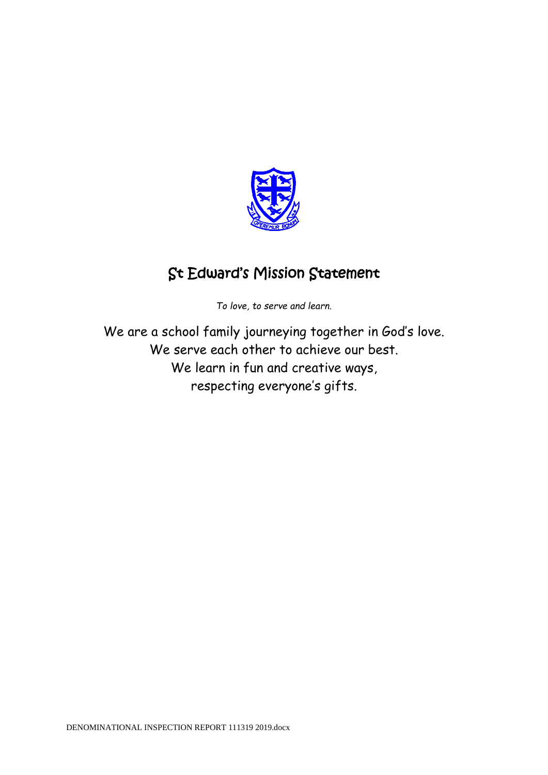

# St Edward's Mission Statement

*To love, to serve and learn.*

We are a school family journeying together in God's love. We serve each other to achieve our best. We learn in fun and creative ways, respecting everyone's gifts.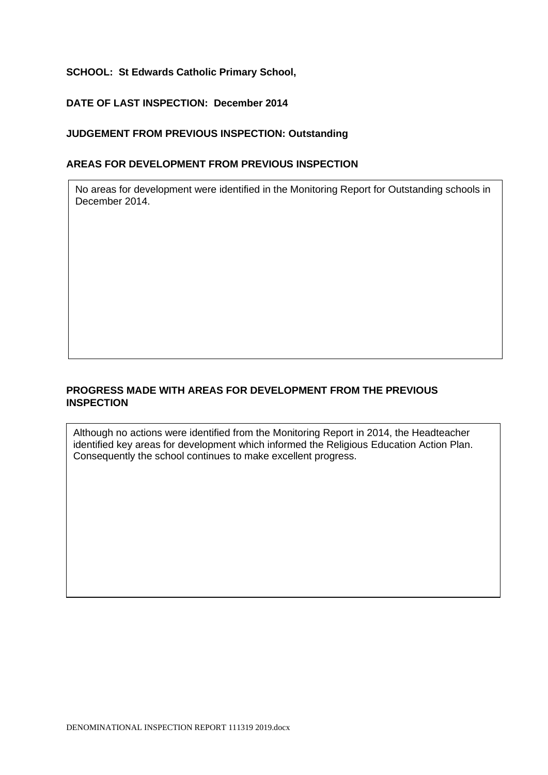# **SCHOOL: St Edwards Catholic Primary School,**

## **DATE OF LAST INSPECTION: December 2014**

## **JUDGEMENT FROM PREVIOUS INSPECTION: Outstanding**

#### **AREAS FOR DEVELOPMENT FROM PREVIOUS INSPECTION**

No areas for development were identified in the Monitoring Report for Outstanding schools in December 2014.

# **PROGRESS MADE WITH AREAS FOR DEVELOPMENT FROM THE PREVIOUS INSPECTION**

Although no actions were identified from the Monitoring Report in 2014, the Headteacher identified key areas for development which informed the Religious Education Action Plan. Consequently the school continues to make excellent progress.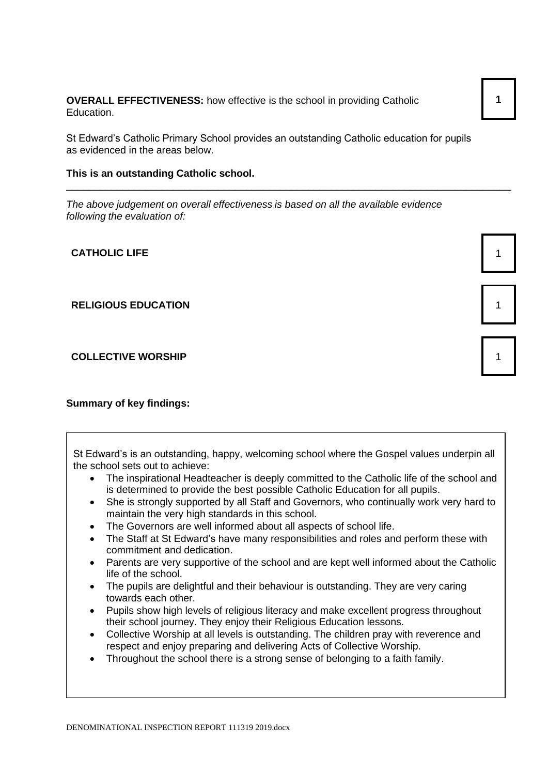**OVERALL EFFECTIVENESS:** how effective is the school in providing Catholic Education.

St Edward's Catholic Primary School provides an outstanding Catholic education for pupils as evidenced in the areas below.

\_\_\_\_\_\_\_\_\_\_\_\_\_\_\_\_\_\_\_\_\_\_\_\_\_\_\_\_\_\_\_\_\_\_\_\_\_\_\_\_\_\_\_\_\_\_\_\_\_\_\_\_\_\_\_\_\_\_\_\_\_\_\_\_\_\_\_\_\_\_\_\_\_\_\_\_\_\_\_

#### **This is an outstanding Catholic school.**

*The above judgement on overall effectiveness is based on all the available evidence following the evaluation of:*

**CATHOLIC LIFE** 1

#### **RELIGIOUS EDUCATION** 1

**COLLECTIVE WORSHIP** 

## **Summary of key findings:**

| St Edward's is an outstanding, happy, welcoming school where the Gospel values underpin all<br>the school sets out to achieve:                                                         |  |  |
|----------------------------------------------------------------------------------------------------------------------------------------------------------------------------------------|--|--|
|                                                                                                                                                                                        |  |  |
| The inspirational Headteacher is deeply committed to the Catholic life of the school and<br>$\bullet$<br>is determined to provide the best possible Catholic Education for all pupils. |  |  |
| She is strongly supported by all Staff and Governors, who continually work very hard to<br>$\bullet$<br>maintain the very high standards in this school.                               |  |  |
| The Governors are well informed about all aspects of school life.<br>$\bullet$                                                                                                         |  |  |
|                                                                                                                                                                                        |  |  |
| The Staff at St Edward's have many responsibilities and roles and perform these with<br>$\bullet$<br>commitment and dedication.                                                        |  |  |
| Parents are very supportive of the school and are kept well informed about the Catholic<br>$\bullet$<br>life of the school.                                                            |  |  |
| The pupils are delightful and their behaviour is outstanding. They are very caring<br>$\bullet$<br>towards each other.                                                                 |  |  |
| Pupils show high levels of religious literacy and make excellent progress throughout<br>$\bullet$<br>their school journey. They enjoy their Religious Education lessons.               |  |  |
| الروزم ومعروبين بريده والأربان يمعون ويعوان الماري والمتحدث والمتحدث والمربط المرابط وبالمعوالي وبراياته والمكر                                                                        |  |  |

- Collective Worship at all levels is outstanding. The children pray with reverence and respect and enjoy preparing and delivering Acts of Collective Worship.
- Throughout the school there is a strong sense of belonging to a faith family.

**1**

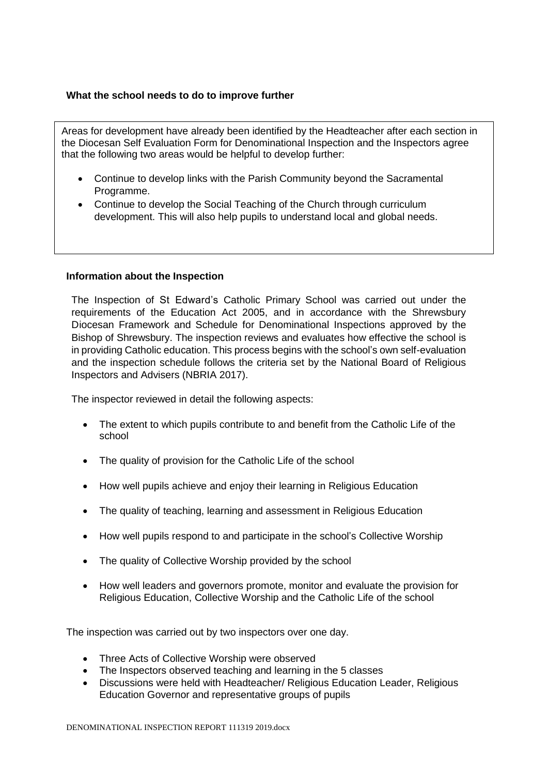# **What the school needs to do to improve further**

Areas for development have already been identified by the Headteacher after each section in the Diocesan Self Evaluation Form for Denominational Inspection and the Inspectors agree that the following two areas would be helpful to develop further:

- Continue to develop links with the Parish Community beyond the Sacramental Programme.
- Continue to develop the Social Teaching of the Church through curriculum development. This will also help pupils to understand local and global needs.

#### **Information about the Inspection**

The Inspection of St Edward's Catholic Primary School was carried out under the requirements of the Education Act 2005, and in accordance with the Shrewsbury Diocesan Framework and Schedule for Denominational Inspections approved by the Bishop of Shrewsbury. The inspection reviews and evaluates how effective the school is in providing Catholic education. This process begins with the school's own self-evaluation and the inspection schedule follows the criteria set by the National Board of Religious Inspectors and Advisers (NBRIA 2017).

The inspector reviewed in detail the following aspects:

- The extent to which pupils contribute to and benefit from the Catholic Life of the school
- The quality of provision for the Catholic Life of the school
- How well pupils achieve and enjoy their learning in Religious Education
- The quality of teaching, learning and assessment in Religious Education
- How well pupils respond to and participate in the school's Collective Worship
- The quality of Collective Worship provided by the school
- How well leaders and governors promote, monitor and evaluate the provision for Religious Education, Collective Worship and the Catholic Life of the school

The inspection was carried out by two inspectors over one day.

- Three Acts of Collective Worship were observed
- The Inspectors observed teaching and learning in the 5 classes
- Discussions were held with Headteacher/ Religious Education Leader, Religious Education Governor and representative groups of pupils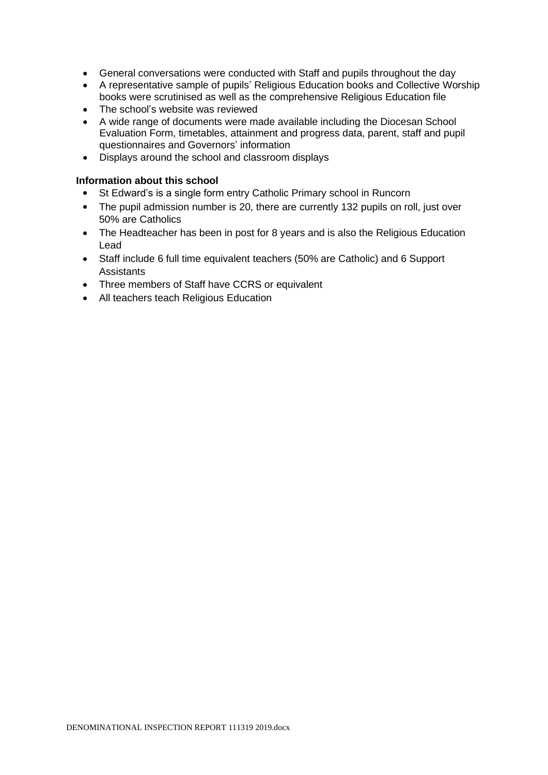- General conversations were conducted with Staff and pupils throughout the day
- A representative sample of pupils' Religious Education books and Collective Worship books were scrutinised as well as the comprehensive Religious Education file
- The school's website was reviewed
- A wide range of documents were made available including the Diocesan School Evaluation Form, timetables, attainment and progress data, parent, staff and pupil questionnaires and Governors' information
- Displays around the school and classroom displays

#### **Information about this school**

- St Edward's is a single form entry Catholic Primary school in Runcorn
- The pupil admission number is 20, there are currently 132 pupils on roll, just over 50% are Catholics
- The Headteacher has been in post for 8 years and is also the Religious Education Lead
- Staff include 6 full time equivalent teachers (50% are Catholic) and 6 Support **Assistants**
- Three members of Staff have CCRS or equivalent
- All teachers teach Religious Education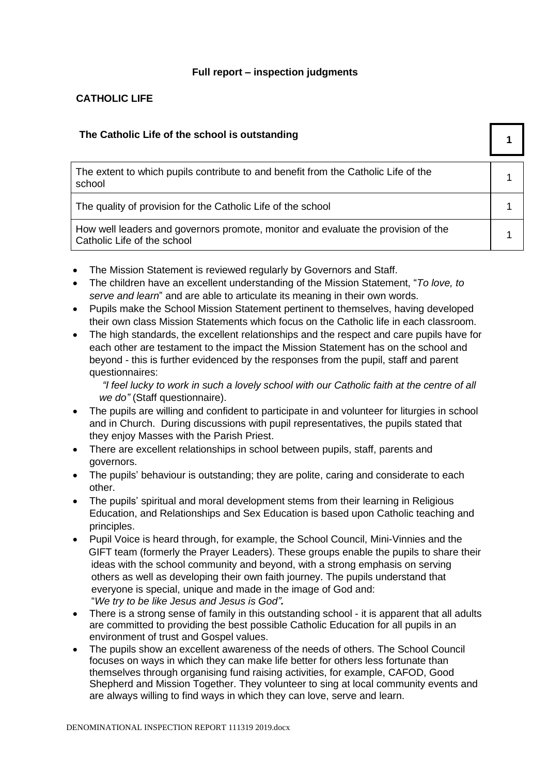# **Full report – inspection judgments**

# **CATHOLIC LIFE**

| The Catholic Life of the school is outstanding                                                                   |  |
|------------------------------------------------------------------------------------------------------------------|--|
| The extent to which pupils contribute to and benefit from the Catholic Life of the<br>school                     |  |
| The quality of provision for the Catholic Life of the school                                                     |  |
| How well leaders and governors promote, monitor and evaluate the provision of the<br>Catholic Life of the school |  |

- The Mission Statement is reviewed regularly by Governors and Staff.
- The children have an excellent understanding of the Mission Statement, "*To love, to serve and learn*" and are able to articulate its meaning in their own words.
- Pupils make the School Mission Statement pertinent to themselves, having developed their own class Mission Statements which focus on the Catholic life in each classroom.
- The high standards, the excellent relationships and the respect and care pupils have for each other are testament to the impact the Mission Statement has on the school and beyond - this is further evidenced by the responses from the pupil, staff and parent questionnaires:

*"I feel lucky to work in such a lovely school with our Catholic faith at the centre of all we do"* (Staff questionnaire).

- The pupils are willing and confident to participate in and volunteer for liturgies in school and in Church. During discussions with pupil representatives, the pupils stated that they enjoy Masses with the Parish Priest.
- There are excellent relationships in school between pupils, staff, parents and governors.
- The pupils' behaviour is outstanding; they are polite, caring and considerate to each other.
- The pupils' spiritual and moral development stems from their learning in Religious Education, and Relationships and Sex Education is based upon Catholic teaching and principles.
- Pupil Voice is heard through, for example, the School Council, Mini-Vinnies and the GIFT team (formerly the Prayer Leaders). These groups enable the pupils to share their ideas with the school community and beyond, with a strong emphasis on serving others as well as developing their own faith journey. The pupils understand that everyone is special, unique and made in the image of God and: "*We try to be like Jesus and Jesus is God".*
- There is a strong sense of family in this outstanding school it is apparent that all adults are committed to providing the best possible Catholic Education for all pupils in an environment of trust and Gospel values.
- The pupils show an excellent awareness of the needs of others. The School Council focuses on ways in which they can make life better for others less fortunate than themselves through organising fund raising activities, for example, CAFOD, Good Shepherd and Mission Together. They volunteer to sing at local community events and are always willing to find ways in which they can love, serve and learn.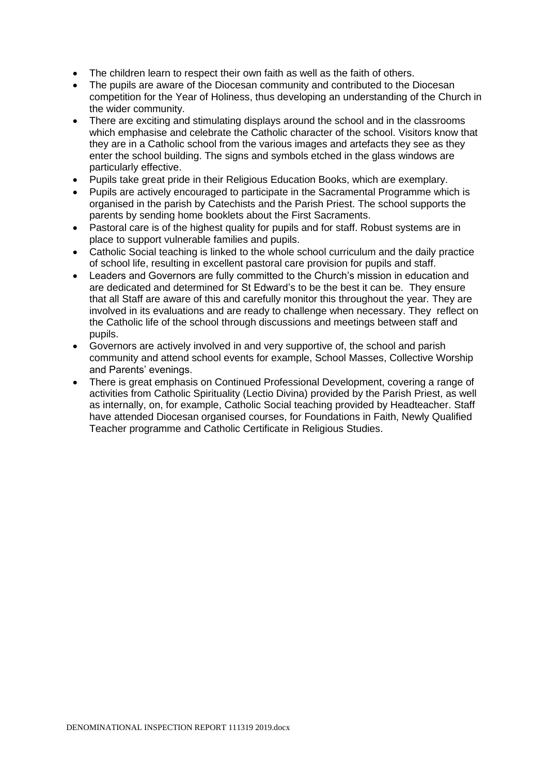- The children learn to respect their own faith as well as the faith of others.
- The pupils are aware of the Diocesan community and contributed to the Diocesan competition for the Year of Holiness, thus developing an understanding of the Church in the wider community.
- There are exciting and stimulating displays around the school and in the classrooms which emphasise and celebrate the Catholic character of the school. Visitors know that they are in a Catholic school from the various images and artefacts they see as they enter the school building. The signs and symbols etched in the glass windows are particularly effective.
- Pupils take great pride in their Religious Education Books, which are exemplary.
- Pupils are actively encouraged to participate in the Sacramental Programme which is organised in the parish by Catechists and the Parish Priest. The school supports the parents by sending home booklets about the First Sacraments.
- Pastoral care is of the highest quality for pupils and for staff. Robust systems are in place to support vulnerable families and pupils.
- Catholic Social teaching is linked to the whole school curriculum and the daily practice of school life, resulting in excellent pastoral care provision for pupils and staff.
- Leaders and Governors are fully committed to the Church's mission in education and are dedicated and determined for St Edward's to be the best it can be. They ensure that all Staff are aware of this and carefully monitor this throughout the year. They are involved in its evaluations and are ready to challenge when necessary. They reflect on the Catholic life of the school through discussions and meetings between staff and pupils.
- Governors are actively involved in and very supportive of, the school and parish community and attend school events for example, School Masses, Collective Worship and Parents' evenings.
- There is great emphasis on Continued Professional Development, covering a range of activities from Catholic Spirituality (Lectio Divina) provided by the Parish Priest, as well as internally, on, for example, Catholic Social teaching provided by Headteacher. Staff have attended Diocesan organised courses, for Foundations in Faith, Newly Qualified Teacher programme and Catholic Certificate in Religious Studies.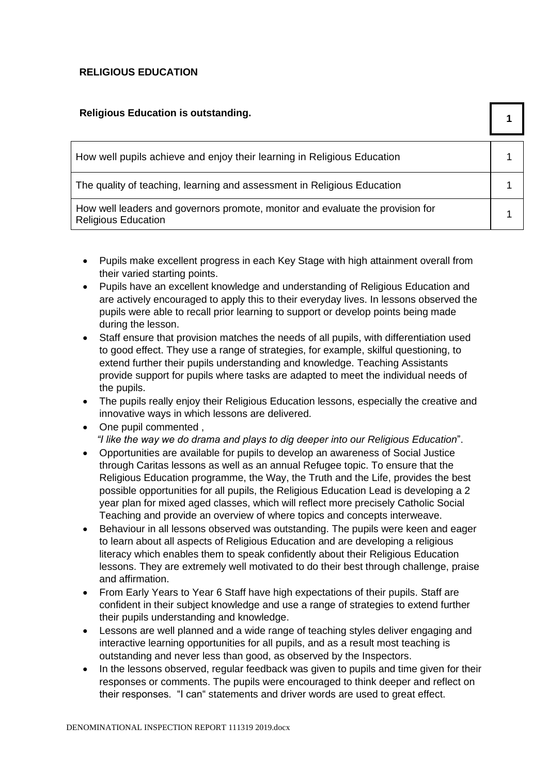# **RELIGIOUS EDUCATION**

# **Religious Education is outstanding.**

| Religious Ludoation is outstanding.                                                                          |  |
|--------------------------------------------------------------------------------------------------------------|--|
| How well pupils achieve and enjoy their learning in Religious Education                                      |  |
| The quality of teaching, learning and assessment in Religious Education                                      |  |
| How well leaders and governors promote, monitor and evaluate the provision for<br><b>Religious Education</b> |  |

- Pupils make excellent progress in each Key Stage with high attainment overall from their varied starting points.
- Pupils have an excellent knowledge and understanding of Religious Education and are actively encouraged to apply this to their everyday lives. In lessons observed the pupils were able to recall prior learning to support or develop points being made during the lesson.
- Staff ensure that provision matches the needs of all pupils, with differentiation used to good effect. They use a range of strategies, for example, skilful questioning, to extend further their pupils understanding and knowledge. Teaching Assistants provide support for pupils where tasks are adapted to meet the individual needs of the pupils.
- The pupils really enjoy their Religious Education lessons, especially the creative and innovative ways in which lessons are delivered.
- One pupil commented , *"I like the way we do drama and plays to dig deeper into our Religious Education*".
- Opportunities are available for pupils to develop an awareness of Social Justice through Caritas lessons as well as an annual Refugee topic. To ensure that the Religious Education programme, the Way, the Truth and the Life, provides the best possible opportunities for all pupils, the Religious Education Lead is developing a 2 year plan for mixed aged classes, which will reflect more precisely Catholic Social Teaching and provide an overview of where topics and concepts interweave.
- Behaviour in all lessons observed was outstanding. The pupils were keen and eager to learn about all aspects of Religious Education and are developing a religious literacy which enables them to speak confidently about their Religious Education lessons. They are extremely well motivated to do their best through challenge, praise and affirmation.
- From Early Years to Year 6 Staff have high expectations of their pupils. Staff are confident in their subject knowledge and use a range of strategies to extend further their pupils understanding and knowledge.
- Lessons are well planned and a wide range of teaching styles deliver engaging and interactive learning opportunities for all pupils, and as a result most teaching is outstanding and never less than good, as observed by the Inspectors.
- In the lessons observed, regular feedback was given to pupils and time given for their responses or comments. The pupils were encouraged to think deeper and reflect on their responses. "I can" statements and driver words are used to great effect.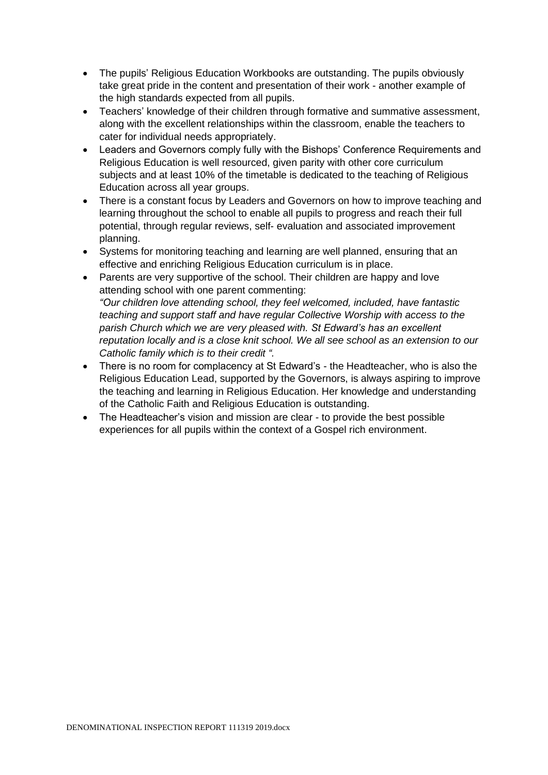- The pupils' Religious Education Workbooks are outstanding. The pupils obviously take great pride in the content and presentation of their work - another example of the high standards expected from all pupils.
- Teachers' knowledge of their children through formative and summative assessment, along with the excellent relationships within the classroom, enable the teachers to cater for individual needs appropriately.
- Leaders and Governors comply fully with the Bishops' Conference Requirements and Religious Education is well resourced, given parity with other core curriculum subjects and at least 10% of the timetable is dedicated to the teaching of Religious Education across all year groups.
- There is a constant focus by Leaders and Governors on how to improve teaching and learning throughout the school to enable all pupils to progress and reach their full potential, through regular reviews, self- evaluation and associated improvement planning.
- Systems for monitoring teaching and learning are well planned, ensuring that an effective and enriching Religious Education curriculum is in place.
- Parents are very supportive of the school. Their children are happy and love attending school with one parent commenting: *"Our children love attending school, they feel welcomed, included, have fantastic teaching and support staff and have regular Collective Worship with access to the parish Church which we are very pleased with. St Edward's has an excellent reputation locally and is a close knit school. We all see school as an extension to our Catholic family which is to their credit ".*
- There is no room for complacency at St Edward's the Headteacher, who is also the Religious Education Lead, supported by the Governors, is always aspiring to improve the teaching and learning in Religious Education. Her knowledge and understanding of the Catholic Faith and Religious Education is outstanding.
- The Headteacher's vision and mission are clear to provide the best possible experiences for all pupils within the context of a Gospel rich environment.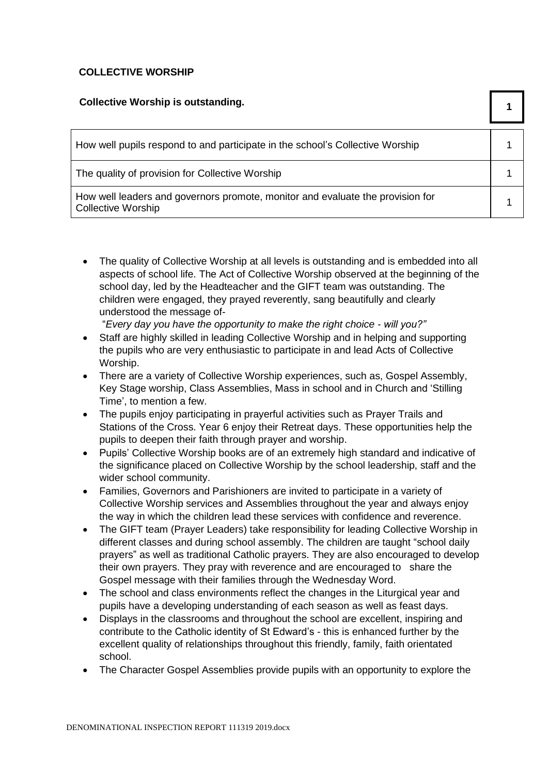# **COLLECTIVE WORSHIP**

| <b>Collective Worship is outstanding.</b>                                                                   |  |
|-------------------------------------------------------------------------------------------------------------|--|
| How well pupils respond to and participate in the school's Collective Worship                               |  |
| The quality of provision for Collective Worship                                                             |  |
| How well leaders and governors promote, monitor and evaluate the provision for<br><b>Collective Worship</b> |  |

• The quality of Collective Worship at all levels is outstanding and is embedded into all aspects of school life. The Act of Collective Worship observed at the beginning of the school day, led by the Headteacher and the GIFT team was outstanding. The children were engaged, they prayed reverently, sang beautifully and clearly understood the message of-

"*Every day you have the opportunity to make the right choice - will you?"* 

- Staff are highly skilled in leading Collective Worship and in helping and supporting the pupils who are very enthusiastic to participate in and lead Acts of Collective Worship.
- There are a variety of Collective Worship experiences, such as, Gospel Assembly, Key Stage worship, Class Assemblies, Mass in school and in Church and 'Stilling Time', to mention a few.
- The pupils enjoy participating in prayerful activities such as Prayer Trails and Stations of the Cross. Year 6 enjoy their Retreat days. These opportunities help the pupils to deepen their faith through prayer and worship.
- Pupils' Collective Worship books are of an extremely high standard and indicative of the significance placed on Collective Worship by the school leadership, staff and the wider school community.
- Families, Governors and Parishioners are invited to participate in a variety of Collective Worship services and Assemblies throughout the year and always enjoy the way in which the children lead these services with confidence and reverence.
- The GIFT team (Praver Leaders) take responsibility for leading Collective Worship in different classes and during school assembly. The children are taught "school daily prayers" as well as traditional Catholic prayers. They are also encouraged to develop their own prayers. They pray with reverence and are encouraged to share the Gospel message with their families through the Wednesday Word.
- The school and class environments reflect the changes in the Liturgical year and pupils have a developing understanding of each season as well as feast days.
- Displays in the classrooms and throughout the school are excellent, inspiring and contribute to the Catholic identity of St Edward's - this is enhanced further by the excellent quality of relationships throughout this friendly, family, faith orientated school.
- The Character Gospel Assemblies provide pupils with an opportunity to explore the